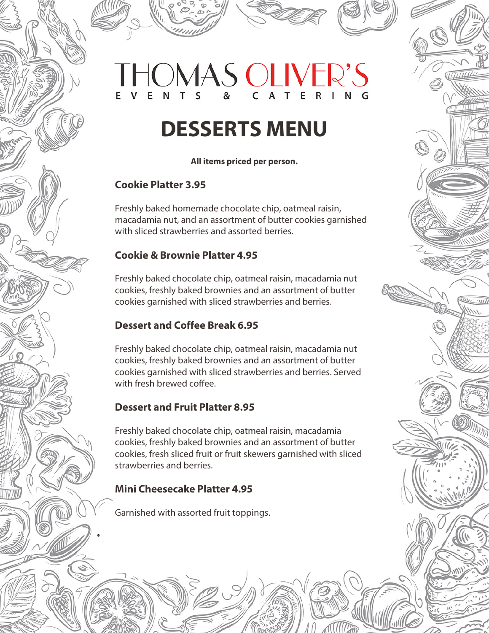# **OMAS OLIVER'S**

## **DESSERTS MENU**

#### **All items priced per person.**

#### **Cookie Platter 3.95**

Freshly baked homemade chocolate chip, oatmeal raisin, macadamia nut, and an assortment of butter cookies garnished with sliced strawberries and assorted berries.

#### **Cookie & Brownie Platter 4.95**

Freshly baked chocolate chip, oatmeal raisin, macadamia nut cookies, freshly baked brownies and an assortment of butter cookies garnished with sliced strawberries and berries.

 $^{\prime\prime}$ 

#### **Dessert and Coffee Break 6.95**

Freshly baked chocolate chip, oatmeal raisin, macadamia nut cookies, freshly baked brownies and an assortment of butter cookies garnished with sliced strawberries and berries. Served with fresh brewed coffee.

#### **Dessert and Fruit Platter 8.95**

Freshly baked chocolate chip, oatmeal raisin, macadamia cookies, freshly baked brownies and an assortment of butter cookies, fresh sliced fruit or fruit skewers garnished with sliced strawberries and berries.

#### **Mini Cheesecake Platter 4.95**

Garnished with assorted fruit toppings.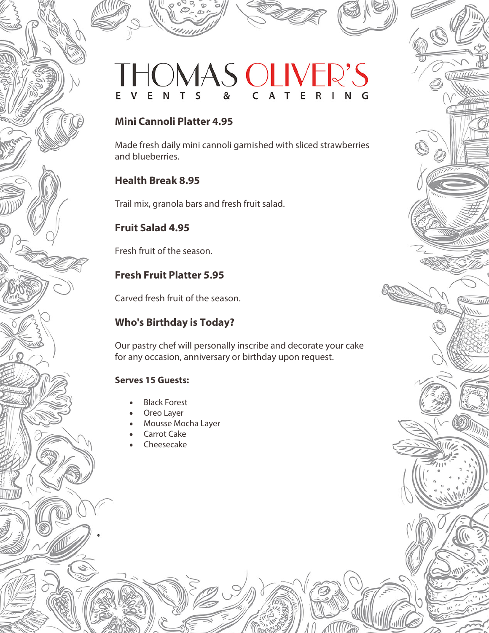### OMAS OLIVI  $\overline{C}$ G

#### **Mini Cannoli Platter 4.95**

Made fresh daily mini cannoli garnished with sliced strawberries and blueberries.

#### **Health Break 8.95**

Trail mix, granola bars and fresh fruit salad.

#### **Fruit Salad 4.95**

Fresh fruit of the season.

#### **Fresh Fruit Platter 5.95**

Carved fresh fruit of the season.

#### **Who's Birthday is Today?**

Our pastry chef will personally inscribe and decorate your cake for any occasion, anniversary or birthday upon request.

 $\overline{u}$   $\overline{u}$ 

#### **Serves 15 Guests:**

何

- **Black Forest**
- Oreo Layer
- Mousse Mocha Layer
- **Carrot Cake**
- **Cheesecake**